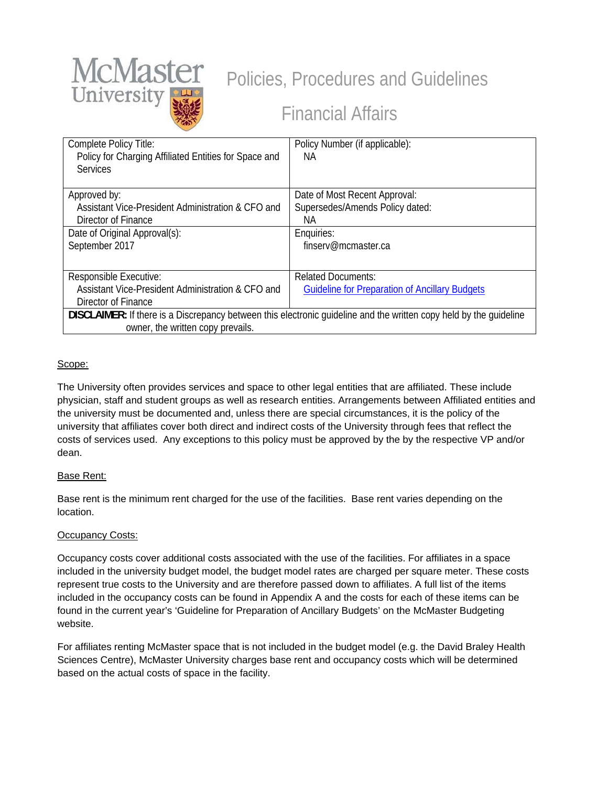

# Policies, Procedures and Guidelines

# Financial Affairs

| Complete Policy Title:<br>Policy for Charging Affiliated Entities for Space and<br><b>Services</b>                 | Policy Number (if applicable):<br>NА                  |
|--------------------------------------------------------------------------------------------------------------------|-------------------------------------------------------|
| Approved by:                                                                                                       | Date of Most Recent Approval:                         |
| Assistant Vice-President Administration & CFO and                                                                  | Supersedes/Amends Policy dated:                       |
| Director of Finance                                                                                                | NА                                                    |
| Date of Original Approval(s):                                                                                      | Enquiries:                                            |
| September 2017                                                                                                     | finserv@mcmaster.ca                                   |
|                                                                                                                    |                                                       |
| Responsible Executive:                                                                                             | <b>Related Documents:</b>                             |
| Assistant Vice-President Administration & CFO and                                                                  | <b>Guideline for Preparation of Ancillary Budgets</b> |
| Director of Finance                                                                                                |                                                       |
| DISCLAIMER: If there is a Discrepancy between this electronic guideline and the written copy held by the guideline |                                                       |
| owner, the written copy prevails.                                                                                  |                                                       |

### Scope:

The University often provides services and space to other legal entities that are affiliated. These include physician, staff and student groups as well as research entities. Arrangements between Affiliated entities and the university must be documented and, unless there are special circumstances, it is the policy of the university that affiliates cover both direct and indirect costs of the University through fees that reflect the costs of services used. Any exceptions to this policy must be approved by the by the respective VP and/or dean.

## Base Rent:

Base rent is the minimum rent charged for the use of the facilities. Base rent varies depending on the location.

## Occupancy Costs:

Occupancy costs cover additional costs associated with the use of the facilities. For affiliates in a space included in the university budget model, the budget model rates are charged per square meter. These costs represent true costs to the University and are therefore passed down to affiliates. A full list of the items included in the occupancy costs can be found in Appendix A and the costs for each of these items can be found in the current year's 'Guideline for Preparation of Ancillary Budgets' on the McMaster Budgeting website.

For affiliates renting McMaster space that is not included in the budget model (e.g. the David Braley Health Sciences Centre), McMaster University charges base rent and occupancy costs which will be determined based on the actual costs of space in the facility.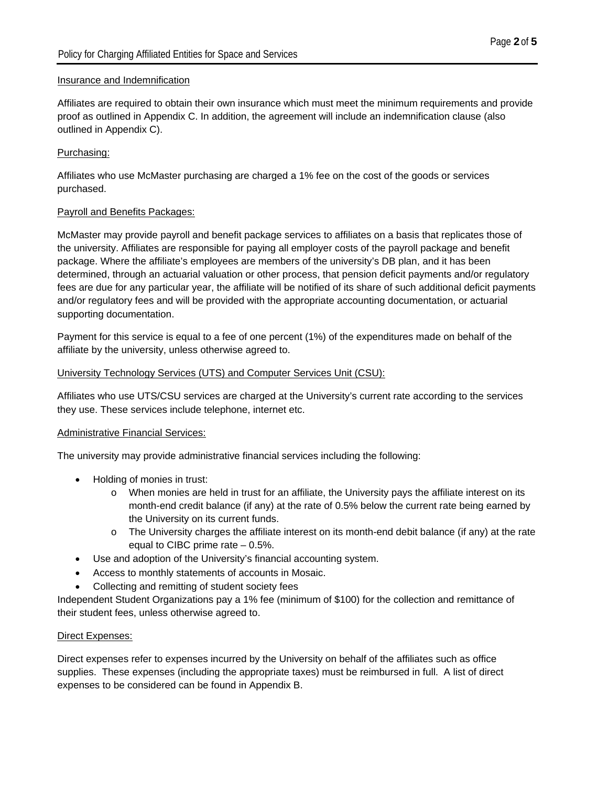#### Insurance and Indemnification

Affiliates are required to obtain their own insurance which must meet the minimum requirements and provide proof as outlined in Appendix C. In addition, the agreement will include an indemnification clause (also outlined in Appendix C).

#### Purchasing:

Affiliates who use McMaster purchasing are charged a 1% fee on the cost of the goods or services purchased.

#### Payroll and Benefits Packages:

McMaster may provide payroll and benefit package services to affiliates on a basis that replicates those of the university. Affiliates are responsible for paying all employer costs of the payroll package and benefit package. Where the affiliate's employees are members of the university's DB plan, and it has been determined, through an actuarial valuation or other process, that pension deficit payments and/or regulatory fees are due for any particular year, the affiliate will be notified of its share of such additional deficit payments and/or regulatory fees and will be provided with the appropriate accounting documentation, or actuarial supporting documentation.

Payment for this service is equal to a fee of one percent (1%) of the expenditures made on behalf of the affiliate by the university, unless otherwise agreed to.

#### University Technology Services (UTS) and Computer Services Unit (CSU):

Affiliates who use UTS/CSU services are charged at the University's current rate according to the services they use. These services include telephone, internet etc.

#### Administrative Financial Services:

The university may provide administrative financial services including the following:

- Holding of monies in trust:
	- o When monies are held in trust for an affiliate, the University pays the affiliate interest on its month-end credit balance (if any) at the rate of 0.5% below the current rate being earned by the University on its current funds.
	- $\circ$  The University charges the affiliate interest on its month-end debit balance (if any) at the rate equal to CIBC prime rate  $-0.5\%$ .
- Use and adoption of the University's financial accounting system.
- Access to monthly statements of accounts in Mosaic.
- Collecting and remitting of student society fees

Independent Student Organizations pay a 1% fee (minimum of \$100) for the collection and remittance of their student fees, unless otherwise agreed to.

#### Direct Expenses:

Direct expenses refer to expenses incurred by the University on behalf of the affiliates such as office supplies. These expenses (including the appropriate taxes) must be reimbursed in full. A list of direct expenses to be considered can be found in Appendix B.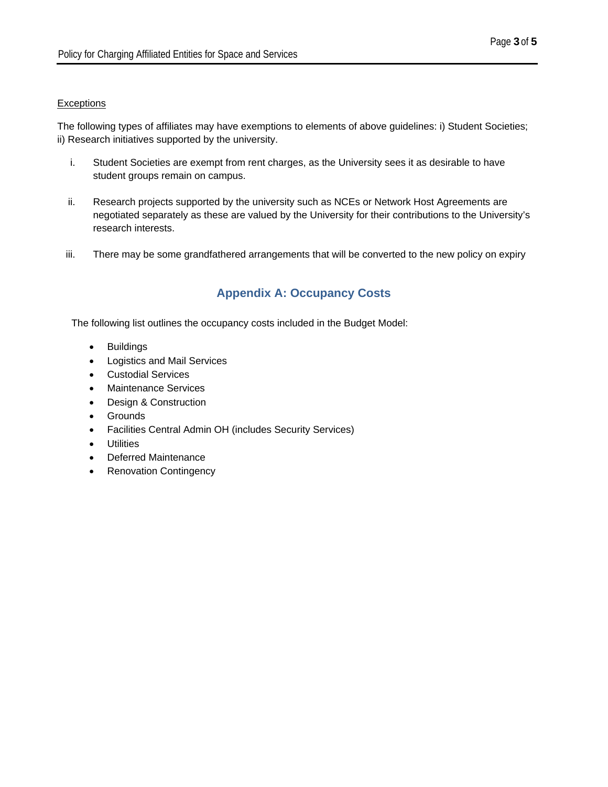#### **Exceptions**

The following types of affiliates may have exemptions to elements of above guidelines: i) Student Societies; ii) Research initiatives supported by the university.

- i. Student Societies are exempt from rent charges, as the University sees it as desirable to have student groups remain on campus.
- ii. Research projects supported by the university such as NCEs or Network Host Agreements are negotiated separately as these are valued by the University for their contributions to the University's research interests.
- iii. There may be some grandfathered arrangements that will be converted to the new policy on expiry

## **Appendix A: Occupancy Costs**

The following list outlines the occupancy costs included in the Budget Model:

- Buildings
- Logistics and Mail Services
- Custodial Services
- Maintenance Services
- Design & Construction
- Grounds
- Facilities Central Admin OH (includes Security Services)
- **•** Utilities
- Deferred Maintenance
- Renovation Contingency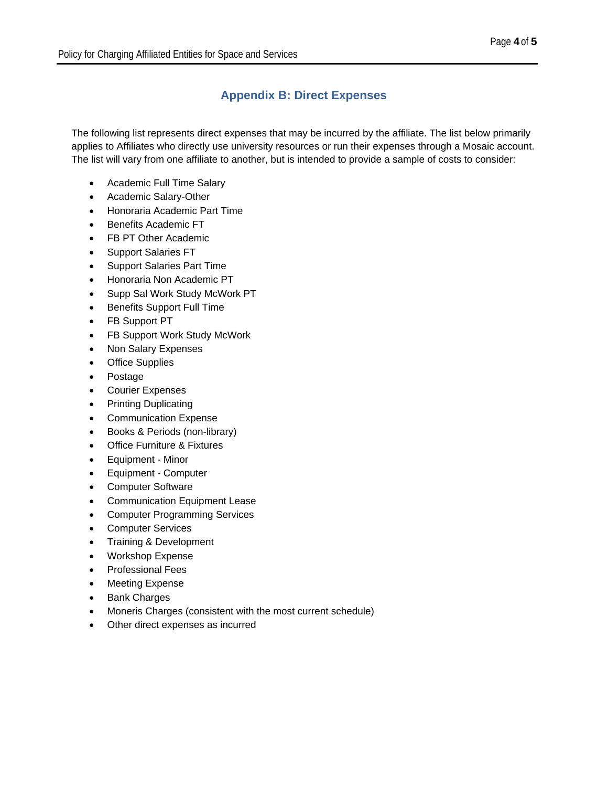# **Appendix B: Direct Expenses**

The following list represents direct expenses that may be incurred by the affiliate. The list below primarily applies to Affiliates who directly use university resources or run their expenses through a Mosaic account. The list will vary from one affiliate to another, but is intended to provide a sample of costs to consider:

- Academic Full Time Salary
- Academic Salary-Other
- Honoraria Academic Part Time
- **•** Benefits Academic FT
- FB PT Other Academic
- Support Salaries FT
- Support Salaries Part Time
- Honoraria Non Academic PT
- Supp Sal Work Study McWork PT
- Benefits Support Full Time
- FB Support PT
- FB Support Work Study McWork
- Non Salary Expenses
- Office Supplies
- Postage
- Courier Expenses
- Printing Duplicating
- Communication Expense
- Books & Periods (non-library)
- Office Furniture & Fixtures
- Equipment Minor
- Equipment Computer
- Computer Software
- Communication Equipment Lease
- Computer Programming Services
- Computer Services
- Training & Development
- Workshop Expense
- Professional Fees
- Meeting Expense
- Bank Charges
- Moneris Charges (consistent with the most current schedule)
- Other direct expenses as incurred